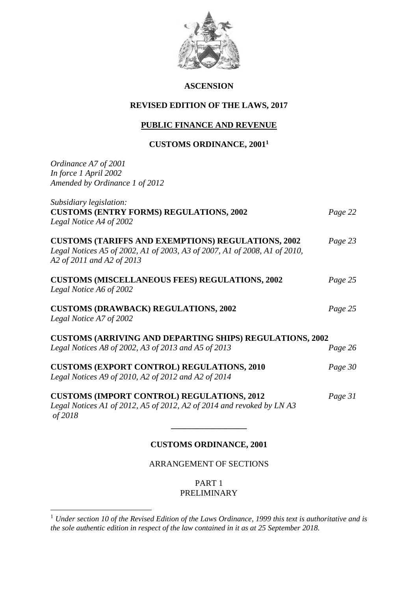

## **ASCENSION**

## **REVISED EDITION OF THE LAWS, 2017**

## **PUBLIC FINANCE AND REVENUE**

## **CUSTOMS ORDINANCE, 2001 1**

*Ordinance A7 of 2001 In force 1 April 2002 Amended by Ordinance 1 of 2012*

1

| Subsidiary legislation:<br><b>CUSTOMS (ENTRY FORMS) REGULATIONS, 2002</b><br>Legal Notice A4 of 2002                                                                | Page 22 |
|---------------------------------------------------------------------------------------------------------------------------------------------------------------------|---------|
| <b>CUSTOMS (TARIFFS AND EXEMPTIONS) REGULATIONS, 2002</b><br>Legal Notices A5 of 2002, A1 of 2003, A3 of 2007, A1 of 2008, A1 of 2010,<br>A2 of 2011 and A2 of 2013 | Page 23 |
| <b>CUSTOMS (MISCELLANEOUS FEES) REGULATIONS, 2002</b><br>Legal Notice A6 of 2002                                                                                    | Page 25 |
| <b>CUSTOMS (DRAWBACK) REGULATIONS, 2002</b><br>Legal Notice A7 of 2002                                                                                              | Page 25 |
| <b>CUSTOMS (ARRIVING AND DEPARTING SHIPS) REGULATIONS, 2002</b>                                                                                                     |         |
| Legal Notices A8 of 2002, A3 of 2013 and A5 of 2013                                                                                                                 | Page 26 |
| <b>CUSTOMS (EXPORT CONTROL) REGULATIONS, 2010</b><br>Legal Notices A9 of 2010, A2 of 2012 and A2 of 2014                                                            | Page 30 |
| <b>CUSTOMS (IMPORT CONTROL) REGULATIONS, 2012</b><br>Legal Notices A1 of 2012, A5 of 2012, A2 of 2014 and revoked by LN A3<br>of 2018                               | Page 31 |
|                                                                                                                                                                     |         |

## **CUSTOMS ORDINANCE, 2001**

## ARRANGEMENT OF SECTIONS

PART 1 PRELIMINARY

<sup>1</sup> *Under section 10 of the Revised Edition of the Laws Ordinance, 1999 this text is authoritative and is the sole authentic edition in respect of the law contained in it as at 25 September 2018.*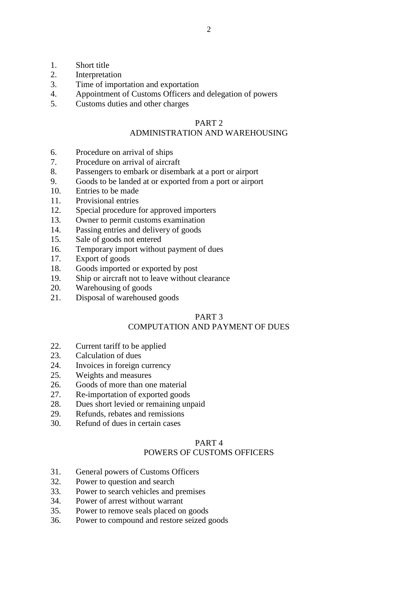- 1. Short title<br>2. Interpretat
- **Interpretation**
- 3. Time of importation and exportation
- 4. Appointment of Customs Officers and delegation of powers
- 5. Customs duties and other charges

## PART 2

## ADMINISTRATION AND WAREHOUSING

- 6. Procedure on arrival of ships
- 7. Procedure on arrival of aircraft
- 8. Passengers to embark or disembark at a port or airport
- 9. Goods to be landed at or exported from a port or airport
- 10. Entries to be made
- 11. Provisional entries
- 12. Special procedure for approved importers
- 13. Owner to permit customs examination
- 14. Passing entries and delivery of goods
- 15. Sale of goods not entered
- 16. Temporary import without payment of dues
- 17. Export of goods
- 18. Goods imported or exported by post
- 19. Ship or aircraft not to leave without clearance
- 20. Warehousing of goods
- 21. Disposal of warehoused goods

## PART 3

## COMPUTATION AND PAYMENT OF DUES

- 22. Current tariff to be applied
- 23. Calculation of dues
- 24. Invoices in foreign currency
- 25. Weights and measures
- 26. Goods of more than one material
- 27. Re-importation of exported goods
- 28. Dues short levied or remaining unpaid
- 29. Refunds, rebates and remissions
- 30. Refund of dues in certain cases

## PART 4

## POWERS OF CUSTOMS OFFICERS

- 31. General powers of Customs Officers
- 32. Power to question and search
- 33. Power to search vehicles and premises
- 34. Power of arrest without warrant
- 35. Power to remove seals placed on goods
- 36. Power to compound and restore seized goods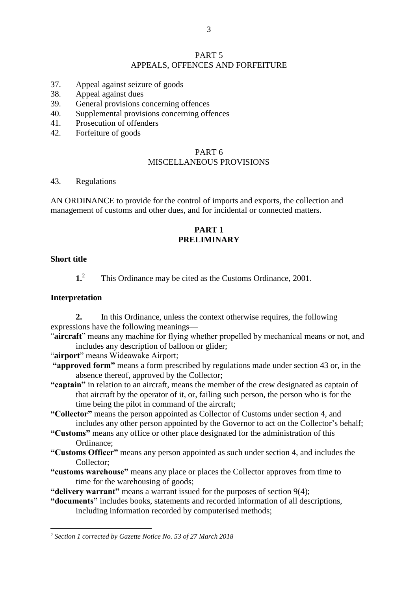#### PART 5 APPEALS, OFFENCES AND FORFEITURE

- 37. Appeal against seizure of goods
- 38. Appeal against dues
- 39. General provisions concerning offences
- 40. Supplemental provisions concerning offences
- 41. Prosecution of offenders
- 42. Forfeiture of goods

#### PART 6 MISCELLANEOUS PROVISIONS

#### 43. Regulations

AN ORDINANCE to provide for the control of imports and exports, the collection and management of customs and other dues, and for incidental or connected matters.

## **PART 1 PRELIMINARY**

#### **Short title**

1

**1.**<sup>2</sup> This Ordinance may be cited as the Customs Ordinance, 2001.

#### **Interpretation**

**2.** In this Ordinance, unless the context otherwise requires, the following expressions have the following meanings—

- "**aircraft**" means any machine for flying whether propelled by mechanical means or not, and includes any description of balloon or glider;
- "**airport**" means Wideawake Airport;
- **"approved form"** means a form prescribed by regulations made under section 43 or, in the absence thereof, approved by the Collector;
- **"captain"** in relation to an aircraft, means the member of the crew designated as captain of that aircraft by the operator of it, or, failing such person, the person who is for the time being the pilot in command of the aircraft;

**"Collector"** means the person appointed as Collector of Customs under section 4, and includes any other person appointed by the Governor to act on the Collector's behalf;

- **"Customs"** means any office or other place designated for the administration of this Ordinance;
- **"Customs Officer"** means any person appointed as such under section 4, and includes the Collector;
- **"customs warehouse"** means any place or places the Collector approves from time to time for the warehousing of goods;

**"delivery warrant"** means a warrant issued for the purposes of section 9(4);

**"documents"** includes books, statements and recorded information of all descriptions, including information recorded by computerised methods;

<sup>2</sup> *Section 1 corrected by Gazette Notice No. 53 of 27 March 2018*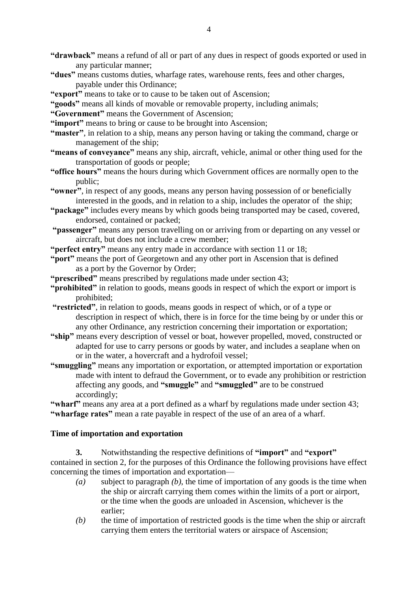- **"drawback"** means a refund of all or part of any dues in respect of goods exported or used in any particular manner;
- **"dues"** means customs duties, wharfage rates, warehouse rents, fees and other charges, payable under this Ordinance;
- **"export"** means to take or to cause to be taken out of Ascension;
- **"goods"** means all kinds of movable or removable property, including animals;
- **"Government"** means the Government of Ascension;
- **"import"** means to bring or cause to be brought into Ascension;
- **"master"**, in relation to a ship, means any person having or taking the command, charge or management of the ship;
- **"means of conveyance"** means any ship, aircraft, vehicle, animal or other thing used for the transportation of goods or people;
- **"office hours"** means the hours during which Government offices are normally open to the public;
- **"owner"**, in respect of any goods, means any person having possession of or beneficially interested in the goods, and in relation to a ship, includes the operator of the ship;
- **"package"** includes every means by which goods being transported may be cased, covered, endorsed, contained or packed;
- **"passenger"** means any person travelling on or arriving from or departing on any vessel or aircraft, but does not include a crew member;
- **"perfect entry"** means any entry made in accordance with section 11 or 18;
- **"port"** means the port of Georgetown and any other port in Ascension that is defined as a port by the Governor by Order;
- **"prescribed"** means prescribed by regulations made under section 43;
- **"prohibited"** in relation to goods, means goods in respect of which the export or import is prohibited;
- **"restricted"**, in relation to goods, means goods in respect of which, or of a type or description in respect of which, there is in force for the time being by or under this or any other Ordinance, any restriction concerning their importation or exportation;
- **"ship"** means every description of vessel or boat, however propelled, moved, constructed or adapted for use to carry persons or goods by water, and includes a seaplane when on or in the water, a hovercraft and a hydrofoil vessel;
- **"smuggling"** means any importation or exportation, or attempted importation or exportation made with intent to defraud the Government, or to evade any prohibition or restriction affecting any goods, and **"smuggle"** and **"smuggled"** are to be construed accordingly;

**"wharf"** means any area at a port defined as a wharf by regulations made under section 43; **"wharfage rates"** mean a rate payable in respect of the use of an area of a wharf.

## **Time of importation and exportation**

**3.** Notwithstanding the respective definitions of **"import"** and **"export"** contained in section 2, for the purposes of this Ordinance the following provisions have effect concerning the times of importation and exportation—

- *(a)* subject to paragraph *(b)*, the time of importation of any goods is the time when the ship or aircraft carrying them comes within the limits of a port or airport, or the time when the goods are unloaded in Ascension, whichever is the earlier;
- *(b)* the time of importation of restricted goods is the time when the ship or aircraft carrying them enters the territorial waters or airspace of Ascension;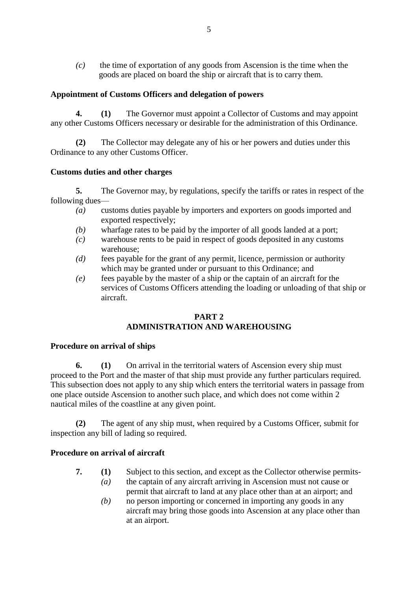*(c)* the time of exportation of any goods from Ascension is the time when the goods are placed on board the ship or aircraft that is to carry them.

## **Appointment of Customs Officers and delegation of powers**

**4. (1)** The Governor must appoint a Collector of Customs and may appoint any other Customs Officers necessary or desirable for the administration of this Ordinance.

**(2)** The Collector may delegate any of his or her powers and duties under this Ordinance to any other Customs Officer.

## **Customs duties and other charges**

**5.** The Governor may, by regulations, specify the tariffs or rates in respect of the following dues—

- *(a)* customs duties payable by importers and exporters on goods imported and exported respectively;
- *(b)* wharfage rates to be paid by the importer of all goods landed at a port;
- *(c)* warehouse rents to be paid in respect of goods deposited in any customs warehouse;
- *(d)* fees payable for the grant of any permit, licence, permission or authority which may be granted under or pursuant to this Ordinance; and
- *(e)* fees payable by the master of a ship or the captain of an aircraft for the services of Customs Officers attending the loading or unloading of that ship or aircraft.

## **PART 2 ADMINISTRATION AND WAREHOUSING**

## **Procedure on arrival of ships**

**6. (1)** On arrival in the territorial waters of Ascension every ship must proceed to the Port and the master of that ship must provide any further particulars required. This subsection does not apply to any ship which enters the territorial waters in passage from one place outside Ascension to another such place, and which does not come within 2 nautical miles of the coastline at any given point.

The agent of any ship must, when required by a Customs Officer, submit for inspection any bill of lading so required.

## **Procedure on arrival of aircraft**

- **7. (1)** Subject to this section, and except as the Collector otherwise permits- *(a)* the captain of any aircraft arriving in Ascension must not cause or
	- permit that aircraft to land at any place other than at an airport; and *(b)* no person importing or concerned in importing any goods in any
	- aircraft may bring those goods into Ascension at any place other than at an airport.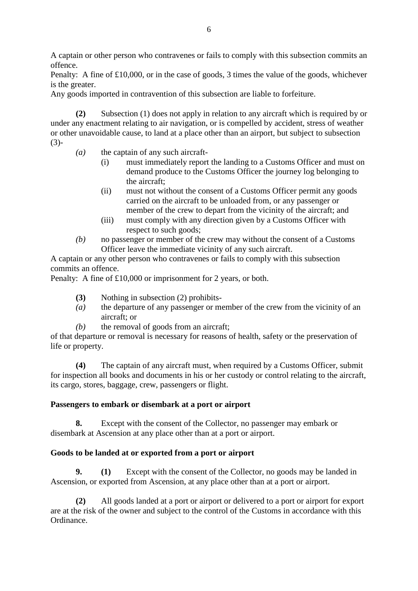A captain or other person who contravenes or fails to comply with this subsection commits an offence.

Penalty: A fine of £10,000, or in the case of goods, 3 times the value of the goods, whichever is the greater.

Any goods imported in contravention of this subsection are liable to forfeiture.

**(2)** Subsection (1) does not apply in relation to any aircraft which is required by or under any enactment relating to air navigation, or is compelled by accident, stress of weather or other unavoidable cause, to land at a place other than an airport, but subject to subsection (3)-

- *(a)* the captain of any such aircraft-
	- (i) must immediately report the landing to a Customs Officer and must on demand produce to the Customs Officer the journey log belonging to the aircraft;
	- (ii) must not without the consent of a Customs Officer permit any goods carried on the aircraft to be unloaded from, or any passenger or member of the crew to depart from the vicinity of the aircraft; and
	- (iii) must comply with any direction given by a Customs Officer with respect to such goods;
- *(b)* no passenger or member of the crew may without the consent of a Customs Officer leave the immediate vicinity of any such aircraft.

A captain or any other person who contravenes or fails to comply with this subsection commits an offence.

Penalty: A fine of £10,000 or imprisonment for 2 years, or both.

- **(3)** Nothing in subsection (2) prohibits-
- *(a)* the departure of any passenger or member of the crew from the vicinity of an aircraft; or
- *(b)* the removal of goods from an aircraft;

of that departure or removal is necessary for reasons of health, safety or the preservation of life or property.

**(4)** The captain of any aircraft must, when required by a Customs Officer, submit for inspection all books and documents in his or her custody or control relating to the aircraft, its cargo, stores, baggage, crew, passengers or flight.

## **Passengers to embark or disembark at a port or airport**

**8.** Except with the consent of the Collector, no passenger may embark or disembark at Ascension at any place other than at a port or airport.

## **Goods to be landed at or exported from a port or airport**

**9. (1)** Except with the consent of the Collector, no goods may be landed in Ascension, or exported from Ascension, at any place other than at a port or airport.

**(2)** All goods landed at a port or airport or delivered to a port or airport for export are at the risk of the owner and subject to the control of the Customs in accordance with this Ordinance.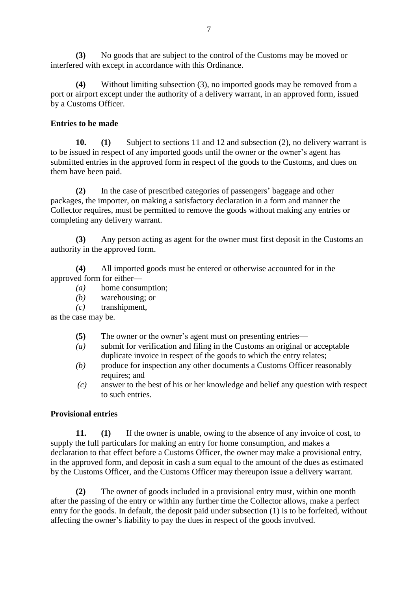**(3)** No goods that are subject to the control of the Customs may be moved or interfered with except in accordance with this Ordinance.

**(4)** Without limiting subsection (3), no imported goods may be removed from a port or airport except under the authority of a delivery warrant, in an approved form, issued by a Customs Officer.

## **Entries to be made**

**10. (1)** Subject to sections 11 and 12 and subsection (2), no delivery warrant is to be issued in respect of any imported goods until the owner or the owner's agent has submitted entries in the approved form in respect of the goods to the Customs, and dues on them have been paid.

**(2)** In the case of prescribed categories of passengers' baggage and other packages, the importer, on making a satisfactory declaration in a form and manner the Collector requires, must be permitted to remove the goods without making any entries or completing any delivery warrant.

**(3)** Any person acting as agent for the owner must first deposit in the Customs an authority in the approved form.

**(4)** All imported goods must be entered or otherwise accounted for in the approved form for either—

- *(a)* home consumption;
- *(b)* warehousing; or
- *(c)* transhipment,

as the case may be.

- **(5)** The owner or the owner's agent must on presenting entries—
- *(a)* submit for verification and filing in the Customs an original or acceptable duplicate invoice in respect of the goods to which the entry relates;
- *(b)* produce for inspection any other documents a Customs Officer reasonably requires; and
- *(c)* answer to the best of his or her knowledge and belief any question with respect to such entries.

## **Provisional entries**

**11. (1)** If the owner is unable, owing to the absence of any invoice of cost, to supply the full particulars for making an entry for home consumption, and makes a declaration to that effect before a Customs Officer, the owner may make a provisional entry, in the approved form, and deposit in cash a sum equal to the amount of the dues as estimated by the Customs Officer, and the Customs Officer may thereupon issue a delivery warrant.

**(2)** The owner of goods included in a provisional entry must, within one month after the passing of the entry or within any further time the Collector allows, make a perfect entry for the goods. In default, the deposit paid under subsection (1) is to be forfeited, without affecting the owner's liability to pay the dues in respect of the goods involved.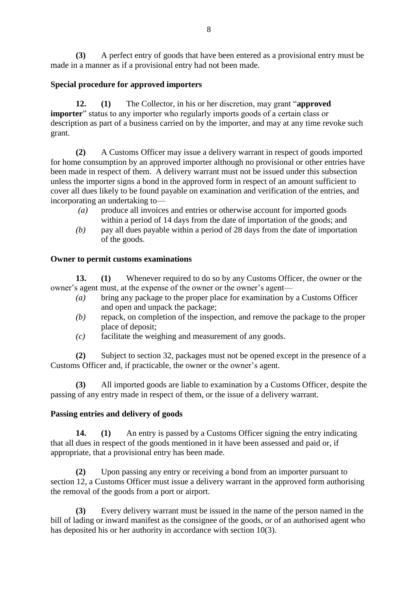**(3)** A perfect entry of goods that have been entered as a provisional entry must be made in a manner as if a provisional entry had not been made.

## **Special procedure for approved importers**

**12. (1)** The Collector, in his or her discretion, may grant "**approved importer**" status to any importer who regularly imports goods of a certain class or description as part of a business carried on by the importer, and may at any time revoke such grant.

**(2)** A Customs Officer may issue a delivery warrant in respect of goods imported for home consumption by an approved importer although no provisional or other entries have been made in respect of them. A delivery warrant must not be issued under this subsection unless the importer signs a bond in the approved form in respect of an amount sufficient to cover all dues likely to be found payable on examination and verification of the entries, and incorporating an undertaking to—

- *(a)* produce all invoices and entries or otherwise account for imported goods within a period of 14 days from the date of importation of the goods; and
- *(b)* pay all dues payable within a period of 28 days from the date of importation of the goods.

## **Owner to permit customs examinations**

**13. (1)** Whenever required to do so by any Customs Officer, the owner or the owner's agent must, at the expense of the owner or the owner's agent—

- *(a)* bring any package to the proper place for examination by a Customs Officer and open and unpack the package;
- *(b)* repack, on completion of the inspection, and remove the package to the proper place of deposit;
- *(c)* facilitate the weighing and measurement of any goods.

**(2)** Subject to section 32, packages must not be opened except in the presence of a Customs Officer and, if practicable, the owner or the owner's agent.

**(3)** All imported goods are liable to examination by a Customs Officer, despite the passing of any entry made in respect of them, or the issue of a delivery warrant.

## **Passing entries and delivery of goods**

**14. (1)** An entry is passed by a Customs Officer signing the entry indicating that all dues in respect of the goods mentioned in it have been assessed and paid or, if appropriate, that a provisional entry has been made.

**(2)** Upon passing any entry or receiving a bond from an importer pursuant to section 12, a Customs Officer must issue a delivery warrant in the approved form authorising the removal of the goods from a port or airport.

**(3)** Every delivery warrant must be issued in the name of the person named in the bill of lading or inward manifest as the consignee of the goods, or of an authorised agent who has deposited his or her authority in accordance with section 10(3).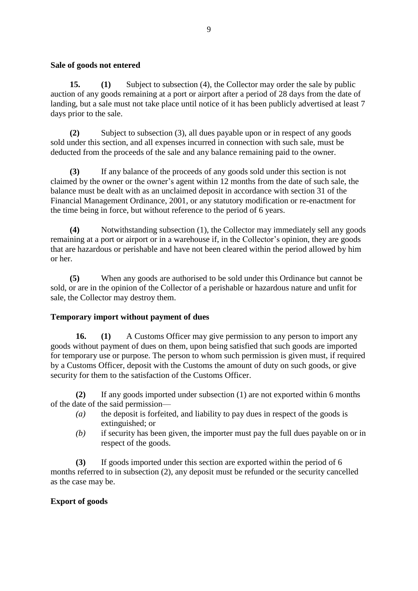#### **Sale of goods not entered**

**15. (1)** Subject to subsection (4), the Collector may order the sale by public auction of any goods remaining at a port or airport after a period of 28 days from the date of landing, but a sale must not take place until notice of it has been publicly advertised at least 7 days prior to the sale.

**(2)** Subject to subsection (3), all dues payable upon or in respect of any goods sold under this section, and all expenses incurred in connection with such sale, must be deducted from the proceeds of the sale and any balance remaining paid to the owner.

**(3)** If any balance of the proceeds of any goods sold under this section is not claimed by the owner or the owner's agent within 12 months from the date of such sale, the balance must be dealt with as an unclaimed deposit in accordance with section 31 of the Financial Management Ordinance, 2001, or any statutory modification or re-enactment for the time being in force, but without reference to the period of 6 years.

**(4)** Notwithstanding subsection (1), the Collector may immediately sell any goods remaining at a port or airport or in a warehouse if, in the Collector's opinion, they are goods that are hazardous or perishable and have not been cleared within the period allowed by him or her.

**(5)** When any goods are authorised to be sold under this Ordinance but cannot be sold, or are in the opinion of the Collector of a perishable or hazardous nature and unfit for sale, the Collector may destroy them.

## **Temporary import without payment of dues**

**16. (1)** A Customs Officer may give permission to any person to import any goods without payment of dues on them, upon being satisfied that such goods are imported for temporary use or purpose. The person to whom such permission is given must, if required by a Customs Officer, deposit with the Customs the amount of duty on such goods, or give security for them to the satisfaction of the Customs Officer.

**(2)** If any goods imported under subsection (1) are not exported within 6 months of the date of the said permission—

- *(a)* the deposit is forfeited, and liability to pay dues in respect of the goods is extinguished; or
- *(b)* if security has been given, the importer must pay the full dues payable on or in respect of the goods.

**(3)** If goods imported under this section are exported within the period of 6 months referred to in subsection (2), any deposit must be refunded or the security cancelled as the case may be.

## **Export of goods**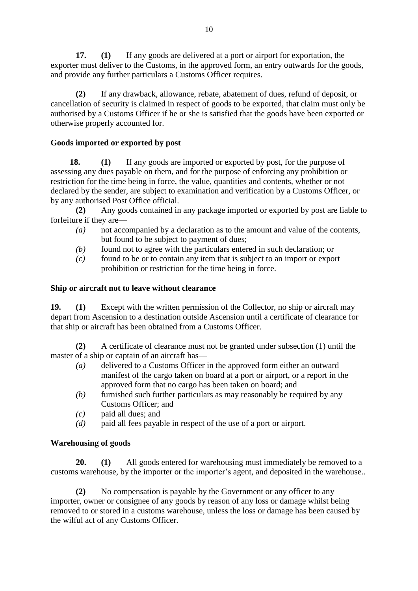**17. (1)** If any goods are delivered at a port or airport for exportation, the exporter must deliver to the Customs, in the approved form, an entry outwards for the goods, and provide any further particulars a Customs Officer requires.

**(2)** If any drawback, allowance, rebate, abatement of dues, refund of deposit, or cancellation of security is claimed in respect of goods to be exported, that claim must only be authorised by a Customs Officer if he or she is satisfied that the goods have been exported or otherwise properly accounted for.

## **Goods imported or exported by post**

**18. (1)** If any goods are imported or exported by post, for the purpose of assessing any dues payable on them, and for the purpose of enforcing any prohibition or restriction for the time being in force, the value, quantities and contents, whether or not declared by the sender, are subject to examination and verification by a Customs Officer, or by any authorised Post Office official.

**(2)** Any goods contained in any package imported or exported by post are liable to forfeiture if they are—

- *(a)* not accompanied by a declaration as to the amount and value of the contents, but found to be subject to payment of dues;
- *(b)* found not to agree with the particulars entered in such declaration; or
- *(c)* found to be or to contain any item that is subject to an import or export prohibition or restriction for the time being in force.

## **Ship or aircraft not to leave without clearance**

**19. (1)** Except with the written permission of the Collector, no ship or aircraft may depart from Ascension to a destination outside Ascension until a certificate of clearance for that ship or aircraft has been obtained from a Customs Officer.

**(2)** A certificate of clearance must not be granted under subsection (1) until the master of a ship or captain of an aircraft has—

- *(a)* delivered to a Customs Officer in the approved form either an outward manifest of the cargo taken on board at a port or airport, or a report in the approved form that no cargo has been taken on board; and
- *(b)* furnished such further particulars as may reasonably be required by any Customs Officer; and
- *(c)* paid all dues; and
- *(d)* paid all fees payable in respect of the use of a port or airport.

## **Warehousing of goods**

**20. (1)** All goods entered for warehousing must immediately be removed to a customs warehouse, by the importer or the importer's agent, and deposited in the warehouse..

**(2)** No compensation is payable by the Government or any officer to any importer, owner or consignee of any goods by reason of any loss or damage whilst being removed to or stored in a customs warehouse, unless the loss or damage has been caused by the wilful act of any Customs Officer.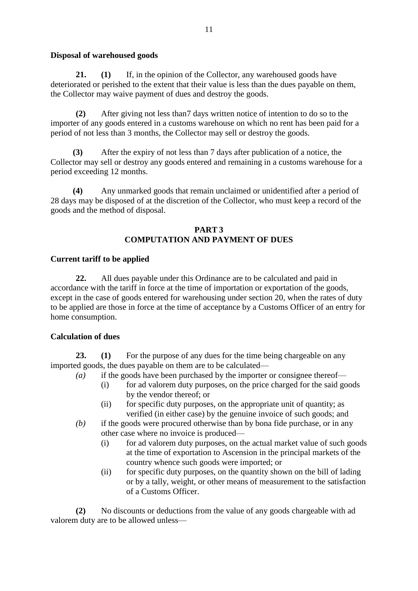## **Disposal of warehoused goods**

**21. (1)** If, in the opinion of the Collector, any warehoused goods have deteriorated or perished to the extent that their value is less than the dues payable on them, the Collector may waive payment of dues and destroy the goods.

**(2)** After giving not less than7 days written notice of intention to do so to the importer of any goods entered in a customs warehouse on which no rent has been paid for a period of not less than 3 months, the Collector may sell or destroy the goods.

**(3)** After the expiry of not less than 7 days after publication of a notice, the Collector may sell or destroy any goods entered and remaining in a customs warehouse for a period exceeding 12 months.

**(4)** Any unmarked goods that remain unclaimed or unidentified after a period of 28 days may be disposed of at the discretion of the Collector, who must keep a record of the goods and the method of disposal.

## **PART 3 COMPUTATION AND PAYMENT OF DUES**

## **Current tariff to be applied**

**22.** All dues payable under this Ordinance are to be calculated and paid in accordance with the tariff in force at the time of importation or exportation of the goods, except in the case of goods entered for warehousing under section 20, when the rates of duty to be applied are those in force at the time of acceptance by a Customs Officer of an entry for home consumption.

## **Calculation of dues**

**23. (1)** For the purpose of any dues for the time being chargeable on any imported goods, the dues payable on them are to be calculated—

- *(a)* if the goods have been purchased by the importer or consignee thereof—
	- (i) for ad valorem duty purposes, on the price charged for the said goods by the vendor thereof; or
	- (ii) for specific duty purposes, on the appropriate unit of quantity; as verified (in either case) by the genuine invoice of such goods; and
- *(b)* if the goods were procured otherwise than by bona fide purchase, or in any other case where no invoice is produced—
	- (i) for ad valorem duty purposes, on the actual market value of such goods at the time of exportation to Ascension in the principal markets of the country whence such goods were imported; or
	- (ii) for specific duty purposes, on the quantity shown on the bill of lading or by a tally, weight, or other means of measurement to the satisfaction of a Customs Officer.

**(2)** No discounts or deductions from the value of any goods chargeable with ad valorem duty are to be allowed unless—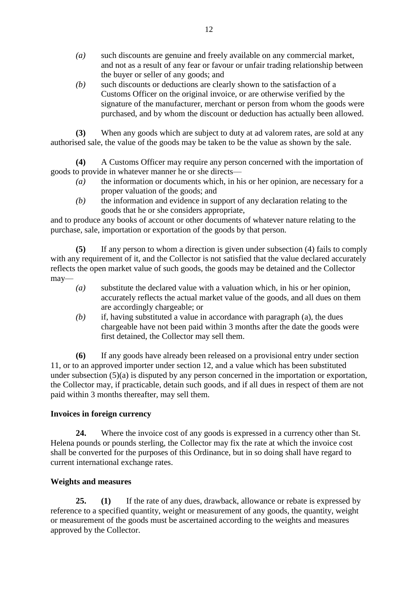- *(a)* such discounts are genuine and freely available on any commercial market, and not as a result of any fear or favour or unfair trading relationship between the buyer or seller of any goods; and
- *(b)* such discounts or deductions are clearly shown to the satisfaction of a Customs Officer on the original invoice, or are otherwise verified by the signature of the manufacturer, merchant or person from whom the goods were purchased, and by whom the discount or deduction has actually been allowed.

**(3)** When any goods which are subject to duty at ad valorem rates, are sold at any authorised sale, the value of the goods may be taken to be the value as shown by the sale.

**(4)** A Customs Officer may require any person concerned with the importation of goods to provide in whatever manner he or she directs—

- *(a)* the information or documents which, in his or her opinion, are necessary for a proper valuation of the goods; and
- *(b)* the information and evidence in support of any declaration relating to the goods that he or she considers appropriate,

and to produce any books of account or other documents of whatever nature relating to the purchase, sale, importation or exportation of the goods by that person.

**(5)** If any person to whom a direction is given under subsection (4) fails to comply with any requirement of it, and the Collector is not satisfied that the value declared accurately reflects the open market value of such goods, the goods may be detained and the Collector may—

- *(a)* substitute the declared value with a valuation which, in his or her opinion, accurately reflects the actual market value of the goods, and all dues on them are accordingly chargeable; or
- *(b)* if, having substituted a value in accordance with paragraph (a), the dues chargeable have not been paid within 3 months after the date the goods were first detained, the Collector may sell them.

**(6)** If any goods have already been released on a provisional entry under section 11, or to an approved importer under section 12, and a value which has been substituted under subsection (5)(a) is disputed by any person concerned in the importation or exportation, the Collector may, if practicable, detain such goods, and if all dues in respect of them are not paid within 3 months thereafter, may sell them.

## **Invoices in foreign currency**

**24.** Where the invoice cost of any goods is expressed in a currency other than St. Helena pounds or pounds sterling, the Collector may fix the rate at which the invoice cost shall be converted for the purposes of this Ordinance, but in so doing shall have regard to current international exchange rates.

## **Weights and measures**

**25. (1)** If the rate of any dues, drawback, allowance or rebate is expressed by reference to a specified quantity, weight or measurement of any goods, the quantity, weight or measurement of the goods must be ascertained according to the weights and measures approved by the Collector.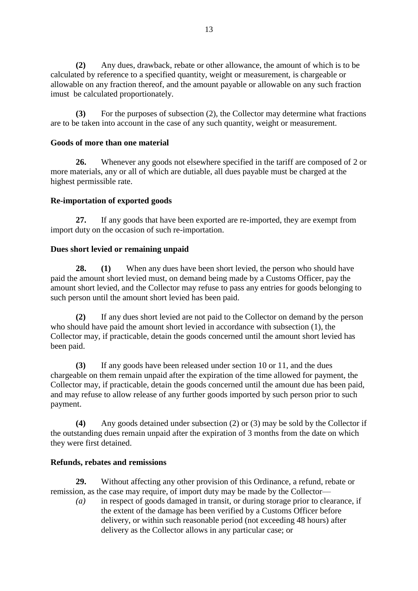**(2)** Any dues, drawback, rebate or other allowance, the amount of which is to be calculated by reference to a specified quantity, weight or measurement, is chargeable or allowable on any fraction thereof, and the amount payable or allowable on any such fraction imust be calculated proportionately.

**(3)** For the purposes of subsection (2), the Collector may determine what fractions are to be taken into account in the case of any such quantity, weight or measurement.

## **Goods of more than one material**

**26.** Whenever any goods not elsewhere specified in the tariff are composed of 2 or more materials, any or all of which are dutiable, all dues payable must be charged at the highest permissible rate.

## **Re-importation of exported goods**

**27.** If any goods that have been exported are re-imported, they are exempt from import duty on the occasion of such re-importation.

## **Dues short levied or remaining unpaid**

**28. (1)** When any dues have been short levied, the person who should have paid the amount short levied must, on demand being made by a Customs Officer, pay the amount short levied, and the Collector may refuse to pass any entries for goods belonging to such person until the amount short levied has been paid.

**(2)** If any dues short levied are not paid to the Collector on demand by the person who should have paid the amount short levied in accordance with subsection (1), the Collector may, if practicable, detain the goods concerned until the amount short levied has been paid.

**(3)** If any goods have been released under section 10 or 11, and the dues chargeable on them remain unpaid after the expiration of the time allowed for payment, the Collector may, if practicable, detain the goods concerned until the amount due has been paid, and may refuse to allow release of any further goods imported by such person prior to such payment.

**(4)** Any goods detained under subsection (2) or (3) may be sold by the Collector if the outstanding dues remain unpaid after the expiration of 3 months from the date on which they were first detained.

## **Refunds, rebates and remissions**

**29.** Without affecting any other provision of this Ordinance, a refund, rebate or remission, as the case may require, of import duty may be made by the Collector—

*(a)* in respect of goods damaged in transit, or during storage prior to clearance, if the extent of the damage has been verified by a Customs Officer before delivery, or within such reasonable period (not exceeding 48 hours) after delivery as the Collector allows in any particular case; or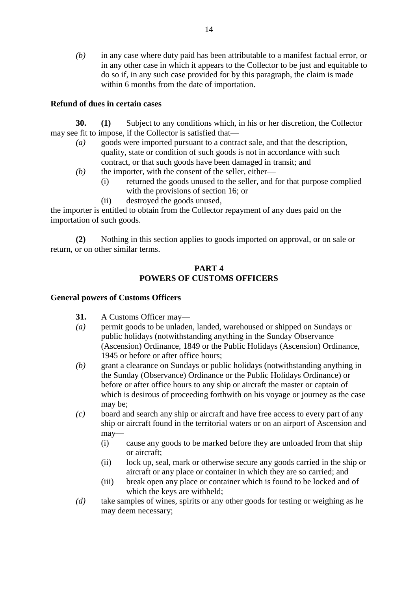*(b)* in any case where duty paid has been attributable to a manifest factual error, or in any other case in which it appears to the Collector to be just and equitable to do so if, in any such case provided for by this paragraph, the claim is made within 6 months from the date of importation.

## **Refund of dues in certain cases**

**30. (1)** Subject to any conditions which, in his or her discretion, the Collector may see fit to impose, if the Collector is satisfied that—

- *(a)* goods were imported pursuant to a contract sale, and that the description, quality, state or condition of such goods is not in accordance with such contract, or that such goods have been damaged in transit; and
- *(b)* the importer, with the consent of the seller, either—
	- (i) returned the goods unused to the seller, and for that purpose complied with the provisions of section 16; or
	- (ii) destroyed the goods unused,

the importer is entitled to obtain from the Collector repayment of any dues paid on the importation of such goods.

**(2)** Nothing in this section applies to goods imported on approval, or on sale or return, or on other similar terms.

#### **PART 4 POWERS OF CUSTOMS OFFICERS**

## **General powers of Customs Officers**

- **31.** A Customs Officer may—
- *(a)* permit goods to be unladen, landed, warehoused or shipped on Sundays or public holidays (notwithstanding anything in the Sunday Observance (Ascension) Ordinance, 1849 or the Public Holidays (Ascension) Ordinance, 1945 or before or after office hours;
- *(b)* grant a clearance on Sundays or public holidays (notwithstanding anything in the Sunday (Observance) Ordinance or the Public Holidays Ordinance) or before or after office hours to any ship or aircraft the master or captain of which is desirous of proceeding forthwith on his voyage or journey as the case may be;
- *(c)* board and search any ship or aircraft and have free access to every part of any ship or aircraft found in the territorial waters or on an airport of Ascension and may—
	- (i) cause any goods to be marked before they are unloaded from that ship or aircraft;
	- (ii) lock up, seal, mark or otherwise secure any goods carried in the ship or aircraft or any place or container in which they are so carried; and
	- (iii) break open any place or container which is found to be locked and of which the keys are withheld;
- *(d)* take samples of wines, spirits or any other goods for testing or weighing as he may deem necessary;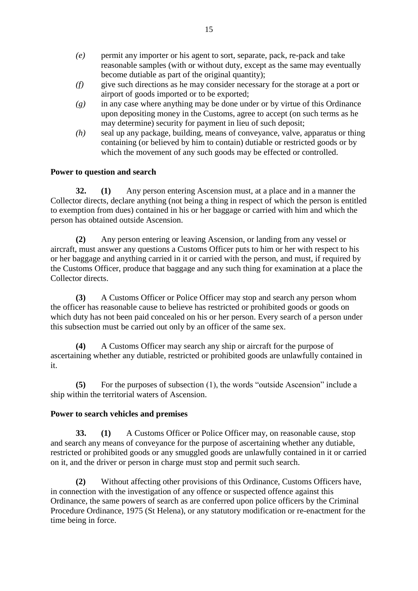- *(e)* permit any importer or his agent to sort, separate, pack, re-pack and take reasonable samples (with or without duty, except as the same may eventually become dutiable as part of the original quantity);
- *(f)* give such directions as he may consider necessary for the storage at a port or airport of goods imported or to be exported;
- *(g)* in any case where anything may be done under or by virtue of this Ordinance upon depositing money in the Customs, agree to accept (on such terms as he may determine) security for payment in lieu of such deposit;
- *(h)* seal up any package, building, means of conveyance, valve, apparatus or thing containing (or believed by him to contain) dutiable or restricted goods or by which the movement of any such goods may be effected or controlled.

## **Power to question and search**

**32. (1)** Any person entering Ascension must, at a place and in a manner the Collector directs, declare anything (not being a thing in respect of which the person is entitled to exemption from dues) contained in his or her baggage or carried with him and which the person has obtained outside Ascension.

**(2)** Any person entering or leaving Ascension, or landing from any vessel or aircraft, must answer any questions a Customs Officer puts to him or her with respect to his or her baggage and anything carried in it or carried with the person, and must, if required by the Customs Officer, produce that baggage and any such thing for examination at a place the Collector directs.

**(3)** A Customs Officer or Police Officer may stop and search any person whom the officer has reasonable cause to believe has restricted or prohibited goods or goods on which duty has not been paid concealed on his or her person. Every search of a person under this subsection must be carried out only by an officer of the same sex.

**(4)** A Customs Officer may search any ship or aircraft for the purpose of ascertaining whether any dutiable, restricted or prohibited goods are unlawfully contained in it.

**(5)** For the purposes of subsection (1), the words "outside Ascension" include a ship within the territorial waters of Ascension.

## **Power to search vehicles and premises**

**33. (1)** A Customs Officer or Police Officer may, on reasonable cause, stop and search any means of conveyance for the purpose of ascertaining whether any dutiable, restricted or prohibited goods or any smuggled goods are unlawfully contained in it or carried on it, and the driver or person in charge must stop and permit such search.

**(2)** Without affecting other provisions of this Ordinance, Customs Officers have, in connection with the investigation of any offence or suspected offence against this Ordinance, the same powers of search as are conferred upon police officers by the Criminal Procedure Ordinance, 1975 (St Helena), or any statutory modification or re-enactment for the time being in force.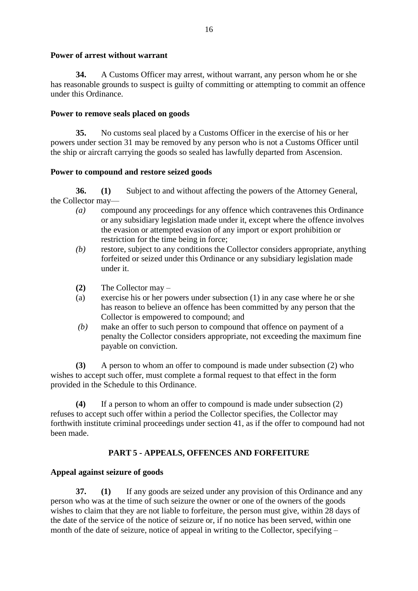## **Power of arrest without warrant**

**34.** A Customs Officer may arrest, without warrant, any person whom he or she has reasonable grounds to suspect is guilty of committing or attempting to commit an offence under this Ordinance.

#### **Power to remove seals placed on goods**

**35.** No customs seal placed by a Customs Officer in the exercise of his or her powers under section 31 may be removed by any person who is not a Customs Officer until the ship or aircraft carrying the goods so sealed has lawfully departed from Ascension.

## **Power to compound and restore seized goods**

**36. (1)** Subject to and without affecting the powers of the Attorney General, the Collector may—

- *(a)* compound any proceedings for any offence which contravenes this Ordinance or any subsidiary legislation made under it, except where the offence involves the evasion or attempted evasion of any import or export prohibition or restriction for the time being in force;
- *(b)* restore, subject to any conditions the Collector considers appropriate, anything forfeited or seized under this Ordinance or any subsidiary legislation made under it.
- **(2)** The Collector may –
- (a) exercise his or her powers under subsection (1) in any case where he or she has reason to believe an offence has been committed by any person that the Collector is empowered to compound; and
- *(b)* make an offer to such person to compound that offence on payment of a penalty the Collector considers appropriate, not exceeding the maximum fine payable on conviction.

**(3)** A person to whom an offer to compound is made under subsection (2) who wishes to accept such offer, must complete a formal request to that effect in the form provided in the Schedule to this Ordinance.

**(4)** If a person to whom an offer to compound is made under subsection (2) refuses to accept such offer within a period the Collector specifies, the Collector may forthwith institute criminal proceedings under section 41, as if the offer to compound had not been made.

## **PART 5 - APPEALS, OFFENCES AND FORFEITURE**

## **Appeal against seizure of goods**

**37. (1)** If any goods are seized under any provision of this Ordinance and any person who was at the time of such seizure the owner or one of the owners of the goods wishes to claim that they are not liable to forfeiture, the person must give, within 28 days of the date of the service of the notice of seizure or, if no notice has been served, within one month of the date of seizure, notice of appeal in writing to the Collector, specifying –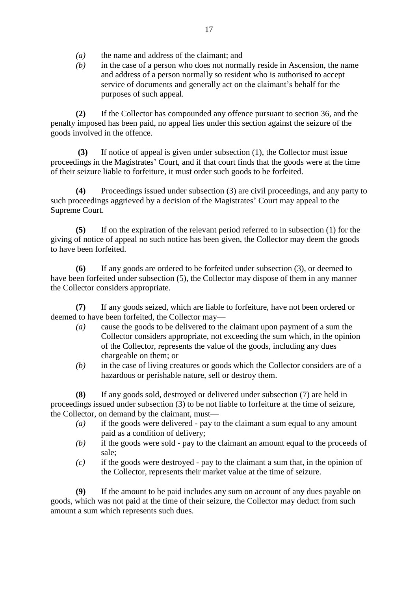- *(a)* the name and address of the claimant; and
- *(b)* in the case of a person who does not normally reside in Ascension, the name and address of a person normally so resident who is authorised to accept service of documents and generally act on the claimant's behalf for the purposes of such appeal.

**(2)** If the Collector has compounded any offence pursuant to section 36, and the penalty imposed has been paid, no appeal lies under this section against the seizure of the goods involved in the offence.

 **(3)** If notice of appeal is given under subsection (1), the Collector must issue proceedings in the Magistrates' Court, and if that court finds that the goods were at the time of their seizure liable to forfeiture, it must order such goods to be forfeited.

**(4)** Proceedings issued under subsection (3) are civil proceedings, and any party to such proceedings aggrieved by a decision of the Magistrates' Court may appeal to the Supreme Court.

**(5)** If on the expiration of the relevant period referred to in subsection (1) for the giving of notice of appeal no such notice has been given, the Collector may deem the goods to have been forfeited.

**(6)** If any goods are ordered to be forfeited under subsection (3), or deemed to have been forfeited under subsection (5), the Collector may dispose of them in any manner the Collector considers appropriate.

**(7)** If any goods seized, which are liable to forfeiture, have not been ordered or deemed to have been forfeited, the Collector may—

- *(a)* cause the goods to be delivered to the claimant upon payment of a sum the Collector considers appropriate, not exceeding the sum which, in the opinion of the Collector, represents the value of the goods, including any dues chargeable on them; or
- *(b)* in the case of living creatures or goods which the Collector considers are of a hazardous or perishable nature, sell or destroy them.

**(8)** If any goods sold, destroyed or delivered under subsection (7) are held in proceedings issued under subsection (3) to be not liable to forfeiture at the time of seizure, the Collector, on demand by the claimant, must—

- *(a)* if the goods were delivered pay to the claimant a sum equal to any amount paid as a condition of delivery;
- *(b)* if the goods were sold pay to the claimant an amount equal to the proceeds of sale;
- *(c)* if the goods were destroyed pay to the claimant a sum that, in the opinion of the Collector, represents their market value at the time of seizure.

**(9)** If the amount to be paid includes any sum on account of any dues payable on goods, which was not paid at the time of their seizure, the Collector may deduct from such amount a sum which represents such dues.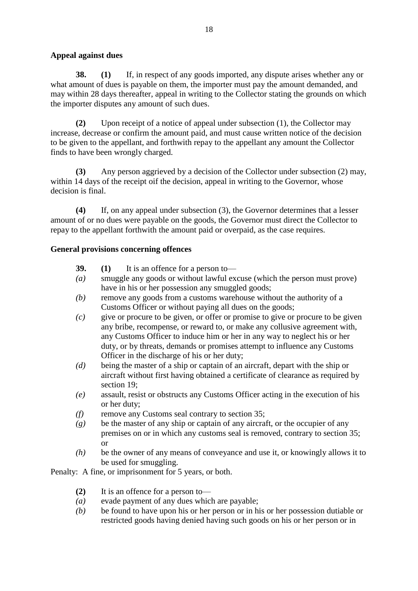## **Appeal against dues**

**38. (1)** If, in respect of any goods imported, any dispute arises whether any or what amount of dues is payable on them, the importer must pay the amount demanded, and may within 28 days thereafter, appeal in writing to the Collector stating the grounds on which the importer disputes any amount of such dues.

**(2)** Upon receipt of a notice of appeal under subsection (1), the Collector may increase, decrease or confirm the amount paid, and must cause written notice of the decision to be given to the appellant, and forthwith repay to the appellant any amount the Collector finds to have been wrongly charged.

**(3)** Any person aggrieved by a decision of the Collector under subsection (2) may, within 14 days of the receipt oif the decision, appeal in writing to the Governor, whose decision is final.

**(4)** If, on any appeal under subsection (3), the Governor determines that a lesser amount of or no dues were payable on the goods, the Governor must direct the Collector to repay to the appellant forthwith the amount paid or overpaid, as the case requires.

## **General provisions concerning offences**

- **39. (1)** It is an offence for a person to—
- *(a)* smuggle any goods or without lawful excuse (which the person must prove) have in his or her possession any smuggled goods;
- *(b)* remove any goods from a customs warehouse without the authority of a Customs Officer or without paying all dues on the goods;
- *(c)* give or procure to be given, or offer or promise to give or procure to be given any bribe, recompense, or reward to, or make any collusive agreement with, any Customs Officer to induce him or her in any way to neglect his or her duty, or by threats, demands or promises attempt to influence any Customs Officer in the discharge of his or her duty;
- *(d)* being the master of a ship or captain of an aircraft, depart with the ship or aircraft without first having obtained a certificate of clearance as required by section 19;
- *(e)* assault, resist or obstructs any Customs Officer acting in the execution of his or her duty;
- *(f)* remove any Customs seal contrary to section 35;
- *(g)* be the master of any ship or captain of any aircraft, or the occupier of any premises on or in which any customs seal is removed, contrary to section 35; or
- *(h)* be the owner of any means of conveyance and use it, or knowingly allows it to be used for smuggling.

Penalty: A fine, or imprisonment for 5 years, or both.

- **(2)** It is an offence for a person to—
- *(a)* evade payment of any dues which are payable;
- *(b)* be found to have upon his or her person or in his or her possession dutiable or restricted goods having denied having such goods on his or her person or in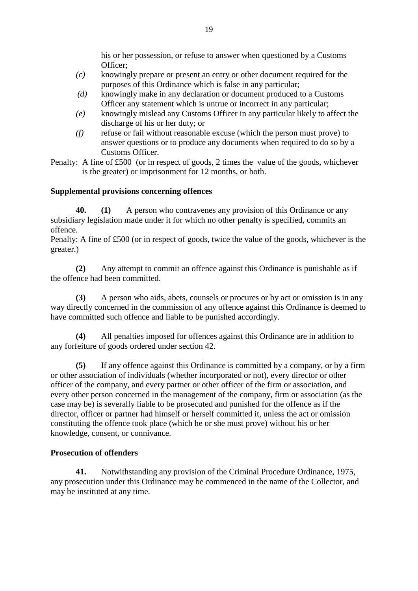his or her possession, or refuse to answer when questioned by a Customs Officer;

- *(c)* knowingly prepare or present an entry or other document required for the purposes of this Ordinance which is false in any particular;
- *(d)* knowingly make in any declaration or document produced to a Customs Officer any statement which is untrue or incorrect in any particular;
- *(e)* knowingly mislead any Customs Officer in any particular likely to affect the discharge of his or her duty; or
- *(f)* refuse or fail without reasonable excuse (which the person must prove) to answer questions or to produce any documents when required to do so by a Customs Officer.

Penalty: A fine of £500 (or in respect of goods, 2 times the value of the goods, whichever is the greater) or imprisonment for 12 months, or both.

## **Supplemental provisions concerning offences**

**40. (1)** A person who contravenes any provision of this Ordinance or any subsidiary legislation made under it for which no other penalty is specified, commits an offence.

Penalty: A fine of £500 (or in respect of goods, twice the value of the goods, whichever is the greater.)

**(2)** Any attempt to commit an offence against this Ordinance is punishable as if the offence had been committed.

**(3)** A person who aids, abets, counsels or procures or by act or omission is in any way directly concerned in the commission of any offence against this Ordinance is deemed to have committed such offence and liable to be punished accordingly.

**(4)** All penalties imposed for offences against this Ordinance are in addition to any forfeiture of goods ordered under section 42.

**(5)** If any offence against this Ordinance is committed by a company, or by a firm or other association of individuals (whether incorporated or not), every director or other officer of the company, and every partner or other officer of the firm or association, and every other person concerned in the management of the company, firm or association (as the case may be) is severally liable to be prosecuted and punished for the offence as if the director, officer or partner had himself or herself committed it, unless the act or omission constituting the offence took place (which he or she must prove) without his or her knowledge, consent, or connivance.

## **Prosecution of offenders**

**41.** Notwithstanding any provision of the Criminal Procedure Ordinance, 1975, any prosecution under this Ordinance may be commenced in the name of the Collector, and may be instituted at any time.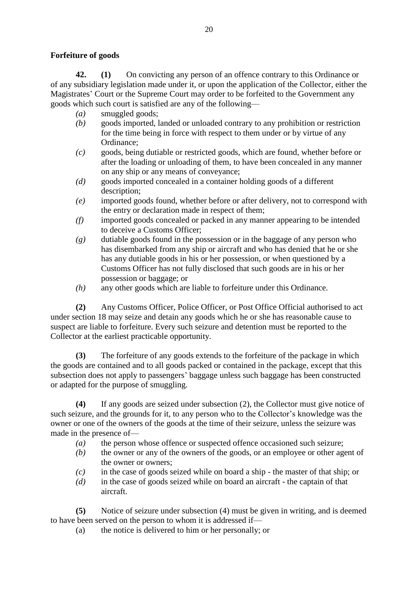## **Forfeiture of goods**

**42. (1)** On convicting any person of an offence contrary to this Ordinance or of any subsidiary legislation made under it, or upon the application of the Collector, either the Magistrates' Court or the Supreme Court may order to be forfeited to the Government any goods which such court is satisfied are any of the following—

- *(a)* smuggled goods;
- *(b)* goods imported, landed or unloaded contrary to any prohibition or restriction for the time being in force with respect to them under or by virtue of any Ordinance;
- *(c)* goods, being dutiable or restricted goods, which are found, whether before or after the loading or unloading of them, to have been concealed in any manner on any ship or any means of conveyance;
- *(d)* goods imported concealed in a container holding goods of a different description;
- *(e)* imported goods found, whether before or after delivery, not to correspond with the entry or declaration made in respect of them;
- *(f)* imported goods concealed or packed in any manner appearing to be intended to deceive a Customs Officer;
- *(g)* dutiable goods found in the possession or in the baggage of any person who has disembarked from any ship or aircraft and who has denied that he or she has any dutiable goods in his or her possession, or when questioned by a Customs Officer has not fully disclosed that such goods are in his or her possession or baggage; or
- *(h)* any other goods which are liable to forfeiture under this Ordinance.

**(2)** Any Customs Officer, Police Officer, or Post Office Official authorised to act under section 18 may seize and detain any goods which he or she has reasonable cause to suspect are liable to forfeiture. Every such seizure and detention must be reported to the Collector at the earliest practicable opportunity.

**(3)** The forfeiture of any goods extends to the forfeiture of the package in which the goods are contained and to all goods packed or contained in the package, except that this subsection does not apply to passengers' baggage unless such baggage has been constructed or adapted for the purpose of smuggling.

**(4)** If any goods are seized under subsection (2), the Collector must give notice of such seizure, and the grounds for it, to any person who to the Collector's knowledge was the owner or one of the owners of the goods at the time of their seizure, unless the seizure was made in the presence of—

- *(a)* the person whose offence or suspected offence occasioned such seizure;
- *(b)* the owner or any of the owners of the goods, or an employee or other agent of the owner or owners;
- *(c)* in the case of goods seized while on board a ship the master of that ship; or
- *(d)* in the case of goods seized while on board an aircraft the captain of that aircraft.

**(5)** Notice of seizure under subsection (4) must be given in writing, and is deemed to have been served on the person to whom it is addressed if—

(a) the notice is delivered to him or her personally; or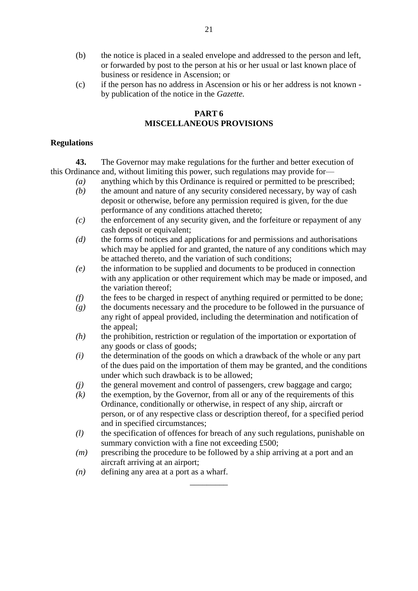- (b) the notice is placed in a sealed envelope and addressed to the person and left, or forwarded by post to the person at his or her usual or last known place of business or residence in Ascension; or
- (c) if the person has no address in Ascension or his or her address is not known by publication of the notice in the *Gazette.*

## **PART 6 MISCELLANEOUS PROVISIONS**

## **Regulations**

**43.** The Governor may make regulations for the further and better execution of this Ordinance and, without limiting this power, such regulations may provide for—

- *(a)* anything which by this Ordinance is required or permitted to be prescribed;
- *(b)* the amount and nature of any security considered necessary, by way of cash deposit or otherwise, before any permission required is given, for the due performance of any conditions attached thereto;
- *(c)* the enforcement of any security given, and the forfeiture or repayment of any cash deposit or equivalent;
- *(d)* the forms of notices and applications for and permissions and authorisations which may be applied for and granted, the nature of any conditions which may be attached thereto, and the variation of such conditions;
- *(e)* the information to be supplied and documents to be produced in connection with any application or other requirement which may be made or imposed, and the variation thereof;
- *(f)* the fees to be charged in respect of anything required or permitted to be done;
- *(g)* the documents necessary and the procedure to be followed in the pursuance of any right of appeal provided, including the determination and notification of the appeal;
- *(h)* the prohibition, restriction or regulation of the importation or exportation of any goods or class of goods;
- *(i)* the determination of the goods on which a drawback of the whole or any part of the dues paid on the importation of them may be granted, and the conditions under which such drawback is to be allowed;
- *(j)* the general movement and control of passengers, crew baggage and cargo;
- *(k)* the exemption, by the Governor, from all or any of the requirements of this Ordinance, conditionally or otherwise, in respect of any ship, aircraft or person, or of any respective class or description thereof, for a specified period and in specified circumstances;
- *(l)* the specification of offences for breach of any such regulations, punishable on summary conviction with a fine not exceeding £500;
- *(m)* prescribing the procedure to be followed by a ship arriving at a port and an aircraft arriving at an airport;

\_\_\_\_\_\_\_\_\_

*(n)* defining any area at a port as a wharf.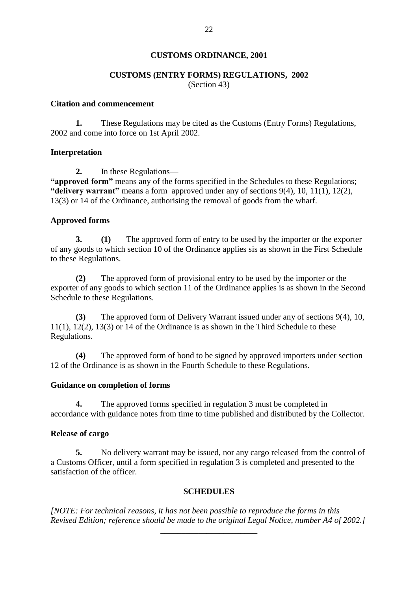## **CUSTOMS ORDINANCE, 2001**

## **CUSTOMS (ENTRY FORMS) REGULATIONS, 2002**

(Section 43)

## **Citation and commencement**

**1.** These Regulations may be cited as the Customs (Entry Forms) Regulations, 2002 and come into force on 1st April 2002.

#### **Interpretation**

**2.** In these Regulations—

**"approved form"** means any of the forms specified in the Schedules to these Regulations; **"delivery warrant"** means a form approved under any of sections 9(4), 10, 11(1), 12(2), 13(3) or 14 of the Ordinance, authorising the removal of goods from the wharf.

## **Approved forms**

**3. (1)** The approved form of entry to be used by the importer or the exporter of any goods to which section 10 of the Ordinance applies sis as shown in the First Schedule to these Regulations.

**(2)** The approved form of provisional entry to be used by the importer or the exporter of any goods to which section 11 of the Ordinance applies is as shown in the Second Schedule to these Regulations.

**(3)** The approved form of Delivery Warrant issued under any of sections 9(4), 10, 11(1), 12(2), 13(3) or 14 of the Ordinance is as shown in the Third Schedule to these Regulations.

**(4)** The approved form of bond to be signed by approved importers under section 12 of the Ordinance is as shown in the Fourth Schedule to these Regulations.

## **Guidance on completion of forms**

**4.** The approved forms specified in regulation 3 must be completed in accordance with guidance notes from time to time published and distributed by the Collector.

## **Release of cargo**

**5.** No delivery warrant may be issued, nor any cargo released from the control of a Customs Officer, until a form specified in regulation 3 is completed and presented to the satisfaction of the officer.

#### **SCHEDULES**

*[NOTE: For technical reasons, it has not been possible to reproduce the forms in this Revised Edition; reference should be made to the original Legal Notice, number A4 of 2002.]*

**\_\_\_\_\_\_\_\_\_\_\_\_\_\_\_\_\_\_\_\_\_\_\_**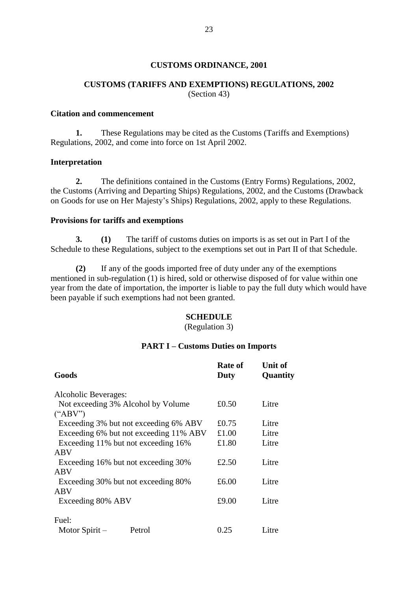#### **CUSTOMS ORDINANCE, 2001**

## **CUSTOMS (TARIFFS AND EXEMPTIONS) REGULATIONS, 2002** (Section 43)

#### **Citation and commencement**

**1.** These Regulations may be cited as the Customs (Tariffs and Exemptions) Regulations, 2002, and come into force on 1st April 2002.

#### **Interpretation**

**2.** The definitions contained in the Customs (Entry Forms) Regulations, 2002, the Customs (Arriving and Departing Ships) Regulations, 2002, and the Customs (Drawback on Goods for use on Her Majesty's Ships) Regulations, 2002, apply to these Regulations.

#### **Provisions for tariffs and exemptions**

**3. (1)** The tariff of customs duties on imports is as set out in Part I of the Schedule to these Regulations, subject to the exemptions set out in Part II of that Schedule.

**(2)** If any of the goods imported free of duty under any of the exemptions mentioned in sub-regulation (1) is hired, sold or otherwise disposed of for value within one year from the date of importation, the importer is liable to pay the full duty which would have been payable if such exemptions had not been granted.

#### **SCHEDULE**

(Regulation 3)

#### **PART I – Customs Duties on Imports**

| Goods                                  | Rate of<br>Duty | <b>Unit of</b><br>Quantity |
|----------------------------------------|-----------------|----------------------------|
| Alcoholic Beverages:                   |                 |                            |
| Not exceeding 3% Alcohol by Volume     | £0.50           | Litre                      |
| $(^{\circ}\text{ABV''})$               |                 |                            |
| Exceeding 3% but not exceeding 6% ABV  | £0.75           | Litre                      |
| Exceeding 6% but not exceeding 11% ABV | £1.00           | Litre                      |
| Exceeding 11% but not exceeding 16%    | £1.80           | Litre                      |
| ABV                                    |                 |                            |
| Exceeding 16% but not exceeding 30%    | £2.50           | Litre                      |
| ABV                                    |                 |                            |
| Exceeding 30% but not exceeding 80%    | £6.00           | Litre                      |
| ABV                                    |                 |                            |
| Exceeding 80% ABV                      | £9.00           | Litre                      |
| Fuel:                                  |                 |                            |
| Motor Spirit $-$<br>Petrol             | 0.25            | Litre                      |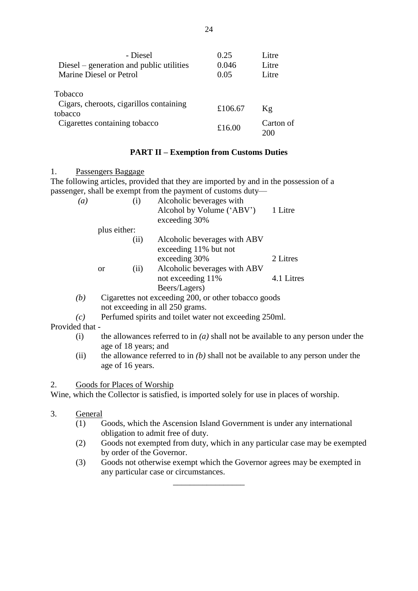| - Diesel                                           | 0.25    | Litre     |
|----------------------------------------------------|---------|-----------|
| Diesel – generation and public utilities           | 0.046   | Litre     |
| Marine Diesel or Petrol                            | 0.05    | Litre     |
| <b>Tobacco</b>                                     |         |           |
| Cigars, cheroots, cigarillos containing<br>tobacco | £106.67 | Kg        |
| Cigarettes containing tobacco                      | £16.00  | Carton of |

## **PART II – Exemption from Customs Duties**

1. Passengers Baggage

The following articles, provided that they are imported by and in the possession of a passenger, shall be exempt from the payment of customs duty—

| $\left(a\right)$ |              | (i)                                                  | Alcoholic beverages with<br>Alcohol by Volume ('ABV')<br>exceeding 30% | 1 Litre    |
|------------------|--------------|------------------------------------------------------|------------------------------------------------------------------------|------------|
|                  | plus either: |                                                      |                                                                        |            |
|                  |              | (ii)                                                 | Alcoholic beverages with ABV<br>exceeding 11% but not                  |            |
|                  |              |                                                      | exceeding 30%                                                          | 2 Litres   |
|                  | <b>or</b>    | (ii)                                                 | Alcoholic beverages with ABV                                           |            |
|                  |              |                                                      | not exceeding 11%                                                      | 4.1 Litres |
|                  |              |                                                      | Beers/Lagers)                                                          |            |
| (b)              |              | Cigarettes not exceeding 200, or other tobacco goods |                                                                        |            |

- not exceeding in all 250 grams.
- *(c)* Perfumed spirits and toilet water not exceeding 250ml.

Provided that -

- (i) the allowances referred to in *(a)* shall not be available to any person under the age of 18 years; and
- (ii) the allowance referred to in *(b)* shall not be available to any person under the age of 16 years.

## 2. Goods for Places of Worship

Wine, which the Collector is satisfied, is imported solely for use in places of worship.

- 3. General
	- (1) Goods, which the Ascension Island Government is under any international obligation to admit free of duty.
	- (2) Goods not exempted from duty, which in any particular case may be exempted by order of the Governor.
	- (3) Goods not otherwise exempt which the Governor agrees may be exempted in any particular case or circumstances.

\_\_\_\_\_\_\_\_\_\_\_\_\_\_\_\_\_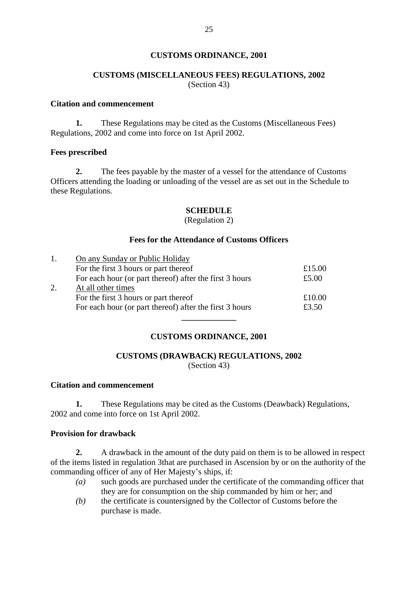## **CUSTOMS ORDINANCE, 2001**

## **CUSTOMS (MISCELLANEOUS FEES) REGULATIONS, 2002** (Section 43)

## **Citation and commencement**

**1.** These Regulations may be cited as the Customs (Miscellaneous Fees) Regulations, 2002 and come into force on 1st April 2002.

#### **Fees prescribed**

**2.** The fees payable by the master of a vessel for the attendance of Customs Officers attending the loading or unloading of the vessel are as set out in the Schedule to these Regulations.

## **SCHEDULE**

#### (Regulation 2)

#### **Fees for the Attendance of Customs Officers**

| 1. | On any Sunday or Public Holiday                         |        |  |  |
|----|---------------------------------------------------------|--------|--|--|
|    | For the first 3 hours or part thereof                   | £15.00 |  |  |
|    | For each hour (or part thereof) after the first 3 hours | £5.00  |  |  |
| 2. | At all other times                                      |        |  |  |
|    | For the first 3 hours or part thereof                   | £10.00 |  |  |
|    | For each hour (or part thereof) after the first 3 hours | £3.50  |  |  |
|    |                                                         |        |  |  |

## **CUSTOMS ORDINANCE, 2001**

# **CUSTOMS (DRAWBACK) REGULATIONS, 2002**

(Section 43)

## **Citation and commencement**

**1.** These Regulations may be cited as the Customs (Deawback) Regulations, 2002 and come into force on 1st April 2002.

## **Provision for drawback**

**2.** A drawback in the amount of the duty paid on them is to be allowed in respect of the items listed in regulation 3that are purchased in Ascension by or on the authority of the commanding officer of any of Her Majesty's ships, if:

- *(a)* such goods are purchased under the certificate of the commanding officer that they are for consumption on the ship commanded by him or her; and
- *(b)* the certificate is countersigned by the Collector of Customs before the purchase is made.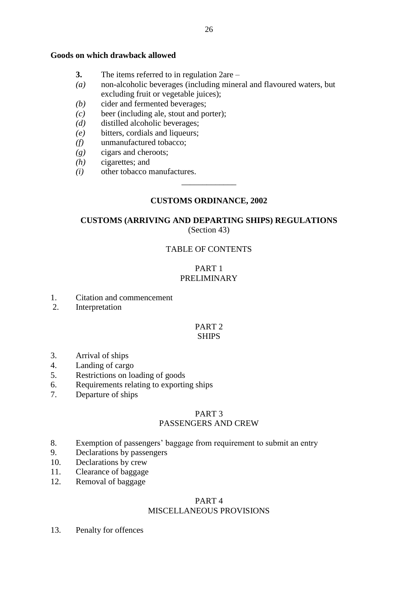#### **Goods on which drawback allowed**

- **3.** The items referred to in regulation 2are –
- *(a)* non-alcoholic beverages (including mineral and flavoured waters, but excluding fruit or vegetable juices);
- *(b)* cider and fermented beverages;
- *(c)* beer (including ale, stout and porter);
- *(d)* distilled alcoholic beverages;
- *(e)* bitters, cordials and liqueurs;
- *(f)* unmanufactured tobacco;
- *(g)* cigars and cheroots;
- *(h)* cigarettes; and
- *(i)* other tobacco manufactures.

## **CUSTOMS ORDINANCE, 2002**

\_\_\_\_\_\_\_\_\_\_\_\_\_

## **CUSTOMS (ARRIVING AND DEPARTING SHIPS) REGULATIONS** (Section 43)

## TABLE OF CONTENTS

## PART 1 PRELIMINARY

- 1. Citation and commencement
- 2. Interpretation

#### PART 2 **SHIPS**

- 3. Arrival of ships
- 4. Landing of cargo
- 5. Restrictions on loading of goods
- 6. Requirements relating to exporting ships
- 7. Departure of ships

## PART 3

## PASSENGERS AND CREW

- 8. Exemption of passengers' baggage from requirement to submit an entry
- 9. Declarations by passengers
- 10. Declarations by crew
- 11. Clearance of baggage
- 12. Removal of baggage

#### PART 4

## MISCELLANEOUS PROVISIONS

13. Penalty for offences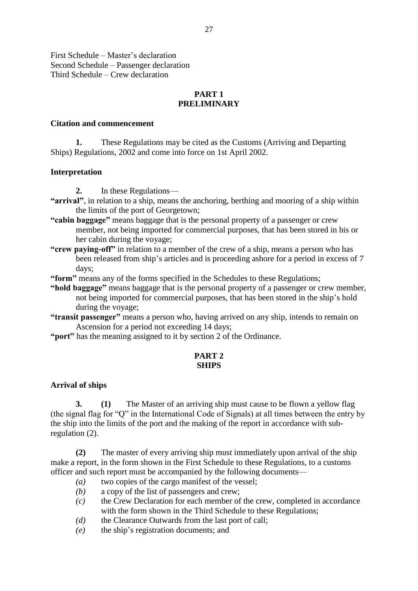First Schedule – Master's declaration Second Schedule – Passenger declaration Third Schedule – Crew declaration

## **PART 1 PRELIMINARY**

#### **Citation and commencement**

**1.** These Regulations may be cited as the Customs (Arriving and Departing Ships) Regulations, 2002 and come into force on 1st April 2002.

#### **Interpretation**

**2.** In these Regulations—

- **"arrival"**, in relation to a ship, means the anchoring, berthing and mooring of a ship within the limits of the port of Georgetown;
- **"cabin baggage"** means baggage that is the personal property of a passenger or crew member, not being imported for commercial purposes, that has been stored in his or her cabin during the voyage;
- **"crew paying-off"** in relation to a member of the crew of a ship, means a person who has been released from ship's articles and is proceeding ashore for a period in excess of 7 days;
- **"form"** means any of the forms specified in the Schedules to these Regulations;
- **"hold baggage"** means baggage that is the personal property of a passenger or crew member, not being imported for commercial purposes, that has been stored in the ship's hold during the voyage;
- **"transit passenger"** means a person who, having arrived on any ship, intends to remain on Ascension for a period not exceeding 14 days;
- **"port"** has the meaning assigned to it by section 2 of the Ordinance.

## **PART 2 SHIPS**

## **Arrival of ships**

**3. (1)** The Master of an arriving ship must cause to be flown a yellow flag (the signal flag for "Q" in the International Code of Signals) at all times between the entry by the ship into the limits of the port and the making of the report in accordance with subregulation (2).

**(2)** The master of every arriving ship must immediately upon arrival of the ship make a report, in the form shown in the First Schedule to these Regulations, to a customs officer and such report must be accompanied by the following documents—

- *(a)* two copies of the cargo manifest of the vessel;
- *(b)* a copy of the list of passengers and crew;
- *(c)* the Crew Declaration for each member of the crew, completed in accordance with the form shown in the Third Schedule to these Regulations;
- *(d)* the Clearance Outwards from the last port of call;
- *(e)* the ship's registration documents; and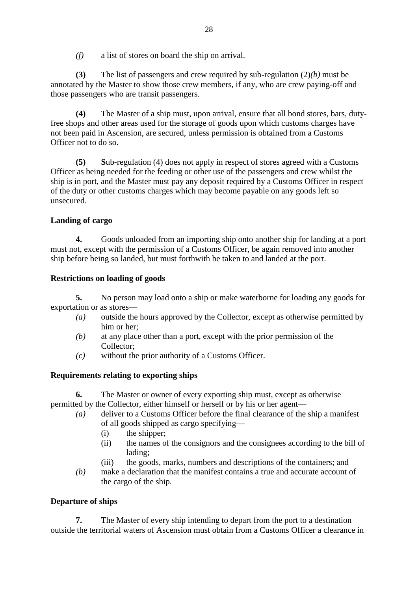*(f)* a list of stores on board the ship on arrival.

**(3)** The list of passengers and crew required by sub-regulation (2)*(b)* must be annotated by the Master to show those crew members, if any, who are crew paying-off and those passengers who are transit passengers.

**(4)** The Master of a ship must, upon arrival, ensure that all bond stores, bars, dutyfree shops and other areas used for the storage of goods upon which customs charges have not been paid in Ascension, are secured, unless permission is obtained from a Customs Officer not to do so.

**(5) S**ub-regulation (4) does not apply in respect of stores agreed with a Customs Officer as being needed for the feeding or other use of the passengers and crew whilst the ship is in port, and the Master must pay any deposit required by a Customs Officer in respect of the duty or other customs charges which may become payable on any goods left so unsecured.

## **Landing of cargo**

**4.** Goods unloaded from an importing ship onto another ship for landing at a port must not, except with the permission of a Customs Officer, be again removed into another ship before being so landed, but must forthwith be taken to and landed at the port.

## **Restrictions on loading of goods**

**5.** No person may load onto a ship or make waterborne for loading any goods for exportation or as stores—

- *(a)* outside the hours approved by the Collector, except as otherwise permitted by him or her;
- *(b)* at any place other than a port, except with the prior permission of the Collector;
- *(c)* without the prior authority of a Customs Officer.

## **Requirements relating to exporting ships**

**6.** The Master or owner of every exporting ship must, except as otherwise permitted by the Collector, either himself or herself or by his or her agent—

- *(a)* deliver to a Customs Officer before the final clearance of the ship a manifest of all goods shipped as cargo specifying—
	- (i) the shipper;
	- (ii) the names of the consignors and the consignees according to the bill of lading;
	- (iii) the goods, marks, numbers and descriptions of the containers; and
- *(b)* make a declaration that the manifest contains a true and accurate account of the cargo of the ship.

## **Departure of ships**

**7.** The Master of every ship intending to depart from the port to a destination outside the territorial waters of Ascension must obtain from a Customs Officer a clearance in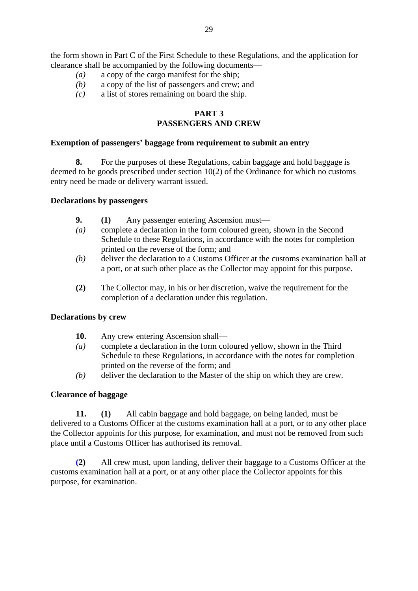the form shown in Part C of the First Schedule to these Regulations, and the application for clearance shall be accompanied by the following documents—

- *(a)* a copy of the cargo manifest for the ship;
- *(b)* a copy of the list of passengers and crew; and
- *(c)* a list of stores remaining on board the ship.

# **PART 3**

## **PASSENGERS AND CREW**

## **Exemption of passengers' baggage from requirement to submit an entry**

**8.** For the purposes of these Regulations, cabin baggage and hold baggage is deemed to be goods prescribed under section 10(2) of the Ordinance for which no customs entry need be made or delivery warrant issued.

#### **Declarations by passengers**

- **9. (1)** Any passenger entering Ascension must—
- *(a)* complete a declaration in the form coloured green, shown in the Second Schedule to these Regulations, in accordance with the notes for completion printed on the reverse of the form; and
- *(b)* deliver the declaration to a Customs Officer at the customs examination hall at a port, or at such other place as the Collector may appoint for this purpose.
- **(2)** The Collector may, in his or her discretion, waive the requirement for the completion of a declaration under this regulation.

## **Declarations by crew**

- **10.** Any crew entering Ascension shall—
- *(a)* complete a declaration in the form coloured yellow, shown in the Third Schedule to these Regulations, in accordance with the notes for completion printed on the reverse of the form; and
- *(b)* deliver the declaration to the Master of the ship on which they are crew.

## **Clearance of baggage**

**11. (1)** All cabin baggage and hold baggage, on being landed, must be delivered to a Customs Officer at the customs examination hall at a port, or to any other place the Collector appoints for this purpose, for examination, and must not be removed from such place until a Customs Officer has authorised its removal.

**(2)** All crew must, upon landing, deliver their baggage to a Customs Officer at the customs examination hall at a port, or at any other place the Collector appoints for this purpose, for examination.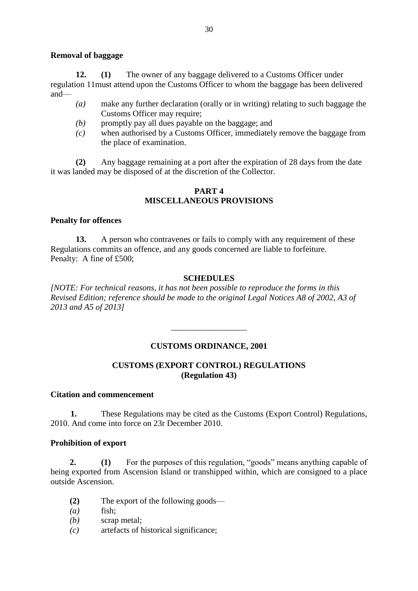## **Removal of baggage**

**12. (1)** The owner of any baggage delivered to a Customs Officer under regulation 11must attend upon the Customs Officer to whom the baggage has been delivered and—

- *(a)* make any further declaration (orally or in writing) relating to such baggage the Customs Officer may require;
- *(b)* promptly pay all dues payable on the baggage; and
- *(c)* when authorised by a Customs Officer, immediately remove the baggage from the place of examination.

**(2)** Any baggage remaining at a port after the expiration of 28 days from the date it was landed may be disposed of at the discretion of the Collector.

## **PART 4 MISCELLANEOUS PROVISIONS**

## **Penalty for offences**

**13.** A person who contravenes or fails to comply with any requirement of these Regulations commits an offence, and any goods concerned are liable to forfeiture. Penalty: A fine of £500;

## **SCHEDULES**

*[NOTE: For technical reasons, it has not been possible to reproduce the forms in this Revised Edition; reference should be made to the original Legal Notices A8 of 2002, A3 of 2013 and A5 of 2013]*

## **CUSTOMS ORDINANCE, 2001**

\_\_\_\_\_\_\_\_\_\_\_\_\_\_\_\_\_\_

## **CUSTOMS (EXPORT CONTROL) REGULATIONS (Regulation 43)**

## **Citation and commencement**

**1.** These Regulations may be cited as the Customs (Export Control) Regulations, 2010. And come into force on 23r December 2010.

## **Prohibition of export**

**2. (1)** For the purposes of this regulation, "goods" means anything capable of being exported from Ascension Island or transhipped within, which are consigned to a place outside Ascension.

- **(2)** The export of the following goods—
- *(a)* fish;
- *(b)* scrap metal;
- *(c)* artefacts of historical significance;